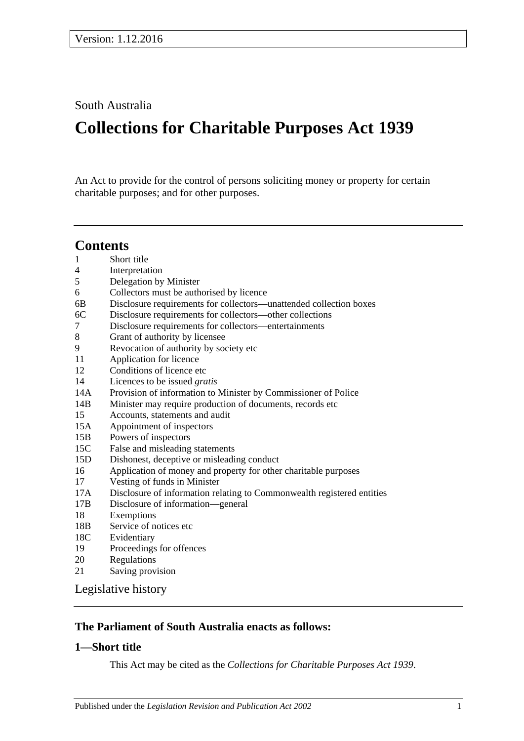South Australia

# **Collections for Charitable Purposes Act 1939**

An Act to provide for the control of persons soliciting money or property for certain charitable purposes; and for other purposes.

# **Contents**

- 1 [Short title](#page-0-0) 4 [Interpretation](#page-1-0) 5 [Delegation by Minister](#page-2-0) 6 [Collectors must be authorised by licence](#page-2-1) 6B [Disclosure requirements for collectors—unattended collection boxes](#page-4-0) 6C [Disclosure requirements for collectors—other collections](#page-5-0) 7 [Disclosure requirements for collectors—entertainments](#page-6-0) 8 [Grant of authority by licensee](#page-7-0) 9 [Revocation of authority by society etc](#page-7-1) 11 [Application for licence](#page-7-2) 12 [Conditions of licence etc](#page-7-3) 14 [Licences to be issued](#page-8-0) *gratis* 14A [Provision of information to Minister by Commissioner of Police](#page-8-1) 14B [Minister may require production of documents, records etc](#page-8-2) 15 [Accounts, statements and audit](#page-9-0) 15A [Appointment of inspectors](#page-10-0) 15B [Powers of inspectors](#page-11-0)
- 15C [False and misleading statements](#page-12-0)
- 15D [Dishonest, deceptive or misleading conduct](#page-12-1)
- 16 [Application of money and property for other charitable purposes](#page-12-2)
- 17 [Vesting of funds in Minister](#page-12-3)
- 17A [Disclosure of information relating to Commonwealth registered entities](#page-13-0)
- 17B [Disclosure of information—general](#page-13-1)
- 18 [Exemptions](#page-13-2)
- 18B [Service of notices etc](#page-13-3)
- 18C [Evidentiary](#page-14-0)
- 19 [Proceedings for offences](#page-14-1)
- 20 [Regulations](#page-14-2)
- 21 [Saving provision](#page-14-3)

[Legislative history](#page-15-0)

# **The Parliament of South Australia enacts as follows:**

# <span id="page-0-0"></span>**1—Short title**

This Act may be cited as the *Collections for Charitable Purposes Act 1939*.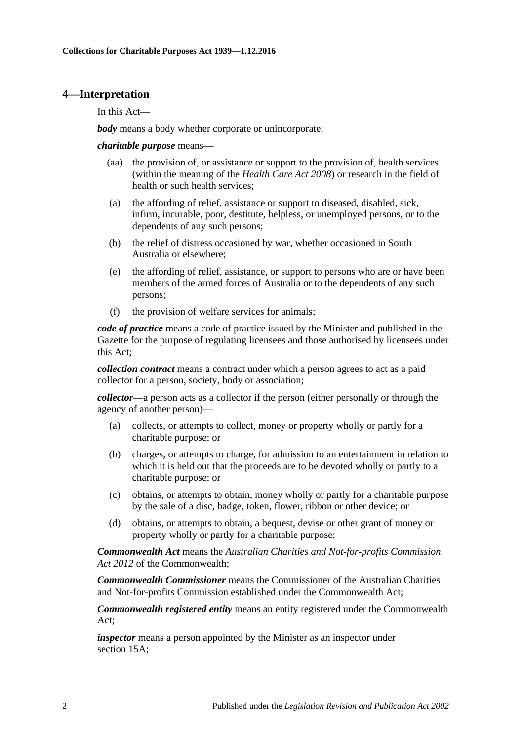#### <span id="page-1-0"></span>**4—Interpretation**

In this Act—

*body* means a body whether corporate or unincorporate;

*charitable purpose* means—

- (aa) the provision of, or assistance or support to the provision of, health services (within the meaning of the *[Health Care Act](http://www.legislation.sa.gov.au/index.aspx?action=legref&type=act&legtitle=Health%20Care%20Act%202008) 2008*) or research in the field of health or such health services;
- (a) the affording of relief, assistance or support to diseased, disabled, sick, infirm, incurable, poor, destitute, helpless, or unemployed persons, or to the dependents of any such persons;
- (b) the relief of distress occasioned by war, whether occasioned in South Australia or elsewhere;
- (e) the affording of relief, assistance, or support to persons who are or have been members of the armed forces of Australia or to the dependents of any such persons;
- (f) the provision of welfare services for animals;

*code of practice* means a code of practice issued by the Minister and published in the Gazette for the purpose of regulating licensees and those authorised by licensees under this Act;

*collection contract* means a contract under which a person agrees to act as a paid collector for a person, society, body or association;

*collector*—a person acts as a collector if the person (either personally or through the agency of another person)—

- (a) collects, or attempts to collect, money or property wholly or partly for a charitable purpose; or
- (b) charges, or attempts to charge, for admission to an entertainment in relation to which it is held out that the proceeds are to be devoted wholly or partly to a charitable purpose; or
- (c) obtains, or attempts to obtain, money wholly or partly for a charitable purpose by the sale of a disc, badge, token, flower, ribbon or other device; or
- (d) obtains, or attempts to obtain, a bequest, devise or other grant of money or property wholly or partly for a charitable purpose;

*Commonwealth Act* means the *Australian Charities and Not-for-profits Commission Act 2012* of the Commonwealth;

*Commonwealth Commissioner* means the Commissioner of the Australian Charities and Not-for-profits Commission established under the Commonwealth Act;

*Commonwealth registered entity* means an entity registered under the Commonwealth Act;

*inspector* means a person appointed by the Minister as an inspector under [section](#page-10-0) 15A;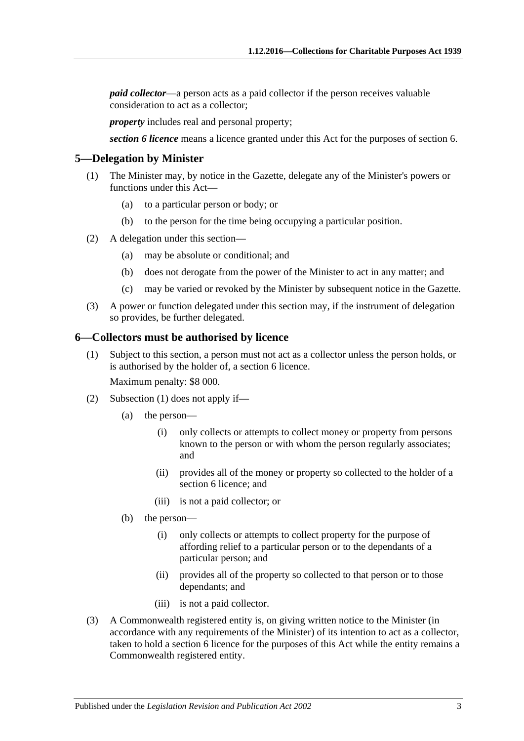*paid collector*—a person acts as a paid collector if the person receives valuable consideration to act as a collector;

*property* includes real and personal property;

*section 6 licence* means a licence granted under this Act for the purposes of [section](#page-2-1) 6.

#### <span id="page-2-0"></span>**5—Delegation by Minister**

- (1) The Minister may, by notice in the Gazette, delegate any of the Minister's powers or functions under this Act—
	- (a) to a particular person or body; or
	- (b) to the person for the time being occupying a particular position.
- (2) A delegation under this section—
	- (a) may be absolute or conditional; and
	- (b) does not derogate from the power of the Minister to act in any matter; and
	- (c) may be varied or revoked by the Minister by subsequent notice in the Gazette.
- (3) A power or function delegated under this section may, if the instrument of delegation so provides, be further delegated.

#### <span id="page-2-2"></span><span id="page-2-1"></span>**6—Collectors must be authorised by licence**

(1) Subject to this section, a person must not act as a collector unless the person holds, or is authorised by the holder of, a [section](#page-2-1) 6 licence.

Maximum penalty: \$8 000.

- (2) [Subsection](#page-2-2) (1) does not apply if—
	- (a) the person—
		- (i) only collects or attempts to collect money or property from persons known to the person or with whom the person regularly associates; and
		- (ii) provides all of the money or property so collected to the holder of a [section](#page-2-1) 6 licence; and
		- (iii) is not a paid collector; or
	- (b) the person—
		- (i) only collects or attempts to collect property for the purpose of affording relief to a particular person or to the dependants of a particular person; and
		- (ii) provides all of the property so collected to that person or to those dependants; and
		- (iii) is not a paid collector.
- <span id="page-2-3"></span>(3) A Commonwealth registered entity is, on giving written notice to the Minister (in accordance with any requirements of the Minister) of its intention to act as a collector, taken to hold a [section](#page-2-1) 6 licence for the purposes of this Act while the entity remains a Commonwealth registered entity.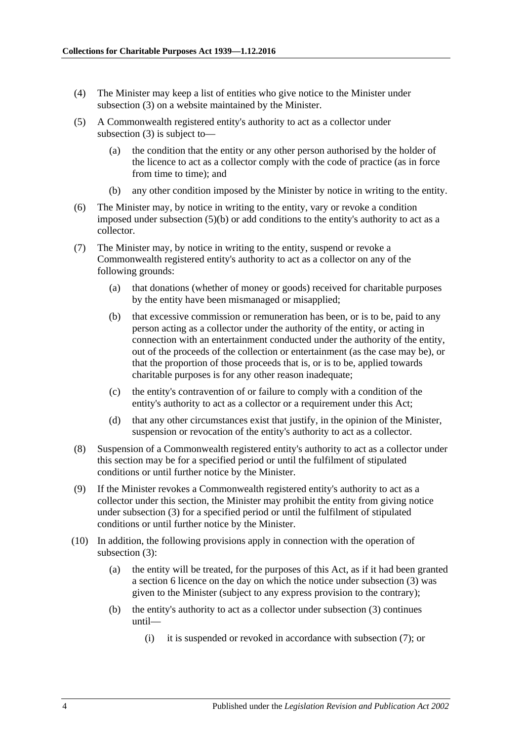- (4) The Minister may keep a list of entities who give notice to the Minister under [subsection](#page-2-3) (3) on a website maintained by the Minister.
- (5) A Commonwealth registered entity's authority to act as a collector under [subsection](#page-2-3) (3) is subject to—
	- (a) the condition that the entity or any other person authorised by the holder of the licence to act as a collector comply with the code of practice (as in force from time to time); and
	- (b) any other condition imposed by the Minister by notice in writing to the entity.
- <span id="page-3-0"></span>(6) The Minister may, by notice in writing to the entity, vary or revoke a condition imposed under [subsection](#page-3-0) (5)(b) or add conditions to the entity's authority to act as a collector.
- <span id="page-3-1"></span>(7) The Minister may, by notice in writing to the entity, suspend or revoke a Commonwealth registered entity's authority to act as a collector on any of the following grounds:
	- (a) that donations (whether of money or goods) received for charitable purposes by the entity have been mismanaged or misapplied;
	- (b) that excessive commission or remuneration has been, or is to be, paid to any person acting as a collector under the authority of the entity, or acting in connection with an entertainment conducted under the authority of the entity, out of the proceeds of the collection or entertainment (as the case may be), or that the proportion of those proceeds that is, or is to be, applied towards charitable purposes is for any other reason inadequate;
	- (c) the entity's contravention of or failure to comply with a condition of the entity's authority to act as a collector or a requirement under this Act;
	- (d) that any other circumstances exist that justify, in the opinion of the Minister, suspension or revocation of the entity's authority to act as a collector.
- (8) Suspension of a Commonwealth registered entity's authority to act as a collector under this section may be for a specified period or until the fulfilment of stipulated conditions or until further notice by the Minister.
- (9) If the Minister revokes a Commonwealth registered entity's authority to act as a collector under this section, the Minister may prohibit the entity from giving notice under [subsection](#page-2-3) (3) for a specified period or until the fulfilment of stipulated conditions or until further notice by the Minister.
- (10) In addition, the following provisions apply in connection with the operation of [subsection](#page-2-3) (3):
	- (a) the entity will be treated, for the purposes of this Act, as if it had been granted a [section](#page-2-1) 6 licence on the day on which the notice under [subsection](#page-2-3) (3) was given to the Minister (subject to any express provision to the contrary);
	- (b) the entity's authority to act as a collector under [subsection](#page-2-3) (3) continues until—
		- (i) it is suspended or revoked in accordance with [subsection](#page-3-1) (7); or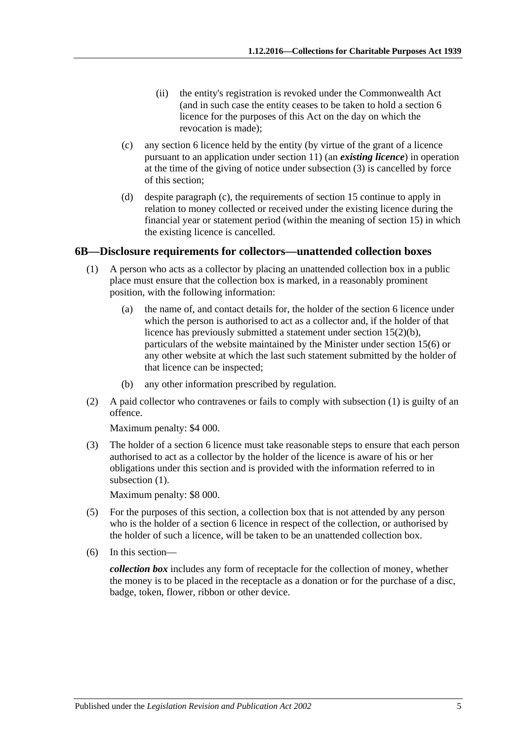- (ii) the entity's registration is revoked under the Commonwealth Act (and in such case the entity ceases to be taken to hold a [section](#page-2-1) 6 licence for the purposes of this Act on the day on which the revocation is made);
- <span id="page-4-1"></span>(c) any [section](#page-2-1) 6 licence held by the entity (by virtue of the grant of a licence pursuant to an application under [section](#page-7-2) 11) (an *existing licence*) in operation at the time of the giving of notice under [subsection](#page-2-3) (3) is cancelled by force of this section;
- (d) despite [paragraph](#page-4-1) (c), the requirements of [section](#page-9-0) 15 continue to apply in relation to money collected or received under the existing licence during the financial year or statement period (within the meaning of [section](#page-9-0) 15) in which the existing licence is cancelled.

#### <span id="page-4-2"></span><span id="page-4-0"></span>**6B—Disclosure requirements for collectors—unattended collection boxes**

- (1) A person who acts as a collector by placing an unattended collection box in a public place must ensure that the collection box is marked, in a reasonably prominent position, with the following information:
	- (a) the name of, and contact details for, the holder of the [section](#page-2-1) 6 licence under which the person is authorised to act as a collector and, if the holder of that licence has previously submitted a statement under section [15\(2\)\(b\),](#page-9-1) particulars of the website maintained by the Minister under [section](#page-9-2) 15(6) or any other website at which the last such statement submitted by the holder of that licence can be inspected;
	- (b) any other information prescribed by regulation.
- (2) A paid collector who contravenes or fails to comply with [subsection](#page-4-2) (1) is guilty of an offence.

Maximum penalty: \$4 000.

(3) The holder of a [section](#page-2-1) 6 licence must take reasonable steps to ensure that each person authorised to act as a collector by the holder of the licence is aware of his or her obligations under this section and is provided with the information referred to in [subsection](#page-4-2)  $(1)$ .

Maximum penalty: \$8 000.

- (5) For the purposes of this section, a collection box that is not attended by any person who is the holder of a [section](#page-2-1) 6 licence in respect of the collection, or authorised by the holder of such a licence, will be taken to be an unattended collection box.
- (6) In this section—

*collection box* includes any form of receptacle for the collection of money, whether the money is to be placed in the receptacle as a donation or for the purchase of a disc, badge, token, flower, ribbon or other device.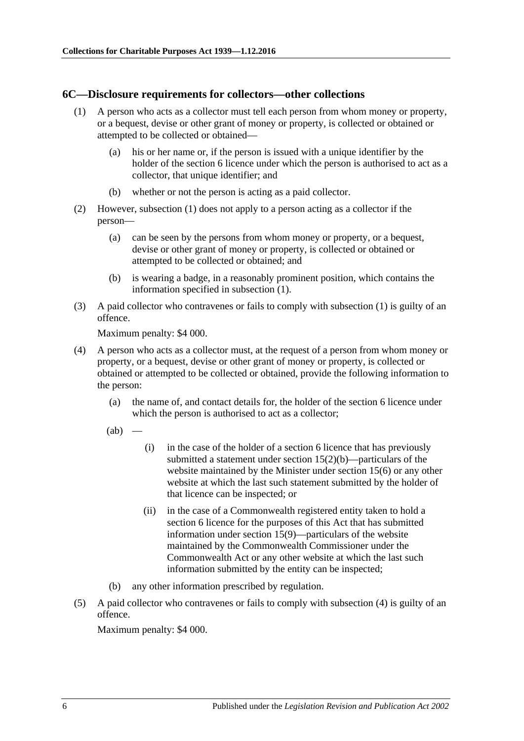#### <span id="page-5-1"></span><span id="page-5-0"></span>**6C—Disclosure requirements for collectors—other collections**

- (1) A person who acts as a collector must tell each person from whom money or property, or a bequest, devise or other grant of money or property, is collected or obtained or attempted to be collected or obtained—
	- (a) his or her name or, if the person is issued with a unique identifier by the holder of the [section](#page-2-1) 6 licence under which the person is authorised to act as a collector, that unique identifier; and
	- (b) whether or not the person is acting as a paid collector.
- (2) However, [subsection](#page-5-1) (1) does not apply to a person acting as a collector if the person—
	- (a) can be seen by the persons from whom money or property, or a bequest, devise or other grant of money or property, is collected or obtained or attempted to be collected or obtained; and
	- (b) is wearing a badge, in a reasonably prominent position, which contains the information specified in [subsection](#page-5-1) (1).
- (3) A paid collector who contravenes or fails to comply with [subsection](#page-5-1) (1) is guilty of an offence.

Maximum penalty: \$4 000.

- <span id="page-5-2"></span>(4) A person who acts as a collector must, at the request of a person from whom money or property, or a bequest, devise or other grant of money or property, is collected or obtained or attempted to be collected or obtained, provide the following information to the person:
	- (a) the name of, and contact details for, the holder of the [section](#page-2-1) 6 licence under which the person is authorised to act as a collector;

 $(ab)$ 

- (i) in the case of the holder of a [section](#page-2-1) 6 licence that has previously submitted a statement under section [15\(2\)\(b\)—](#page-9-1)particulars of the website maintained by the Minister under [section](#page-9-2) 15(6) or any other website at which the last such statement submitted by the holder of that licence can be inspected; or
- (ii) in the case of a Commonwealth registered entity taken to hold a [section](#page-2-1) 6 licence for the purposes of this Act that has submitted information under [section](#page-10-1) 15(9)—particulars of the website maintained by the Commonwealth Commissioner under the Commonwealth Act or any other website at which the last such information submitted by the entity can be inspected;
- (b) any other information prescribed by regulation.
- (5) A paid collector who contravenes or fails to comply with [subsection](#page-5-2) (4) is guilty of an offence.

Maximum penalty: \$4 000.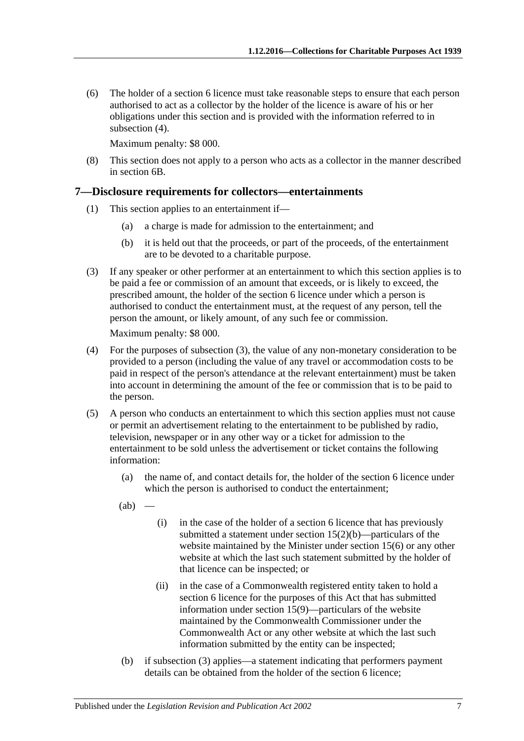(6) The holder of a [section](#page-2-1) 6 licence must take reasonable steps to ensure that each person authorised to act as a collector by the holder of the licence is aware of his or her obligations under this section and is provided with the information referred to in [subsection](#page-5-2) (4).

Maximum penalty: \$8 000.

(8) This section does not apply to a person who acts as a collector in the manner described in [section](#page-4-0) 6B.

# <span id="page-6-0"></span>**7—Disclosure requirements for collectors—entertainments**

- (1) This section applies to an entertainment if—
	- (a) a charge is made for admission to the entertainment; and
	- (b) it is held out that the proceeds, or part of the proceeds, of the entertainment are to be devoted to a charitable purpose.
- <span id="page-6-1"></span>(3) If any speaker or other performer at an entertainment to which this section applies is to be paid a fee or commission of an amount that exceeds, or is likely to exceed, the prescribed amount, the holder of the [section](#page-2-1) 6 licence under which a person is authorised to conduct the entertainment must, at the request of any person, tell the person the amount, or likely amount, of any such fee or commission.

Maximum penalty: \$8 000.

- (4) For the purposes of [subsection](#page-6-1) (3), the value of any non-monetary consideration to be provided to a person (including the value of any travel or accommodation costs to be paid in respect of the person's attendance at the relevant entertainment) must be taken into account in determining the amount of the fee or commission that is to be paid to the person.
- (5) A person who conducts an entertainment to which this section applies must not cause or permit an advertisement relating to the entertainment to be published by radio, television, newspaper or in any other way or a ticket for admission to the entertainment to be sold unless the advertisement or ticket contains the following information:
	- (a) the name of, and contact details for, the holder of the [section](#page-2-1) 6 licence under which the person is authorised to conduct the entertainment;
	- $(ab)$  —
- (i) in the case of the holder of a [section](#page-2-1) 6 licence that has previously submitted a statement under section [15\(2\)\(b\)—](#page-9-1)particulars of the website maintained by the Minister under [section](#page-9-2) 15(6) or any other website at which the last such statement submitted by the holder of that licence can be inspected; or
- (ii) in the case of a Commonwealth registered entity taken to hold a [section](#page-2-1) 6 licence for the purposes of this Act that has submitted information under [section](#page-10-1) 15(9)—particulars of the website maintained by the Commonwealth Commissioner under the Commonwealth Act or any other website at which the last such information submitted by the entity can be inspected;
- (b) if [subsection](#page-6-1) (3) applies—a statement indicating that performers payment details can be obtained from the holder of the [section](#page-2-1) 6 licence;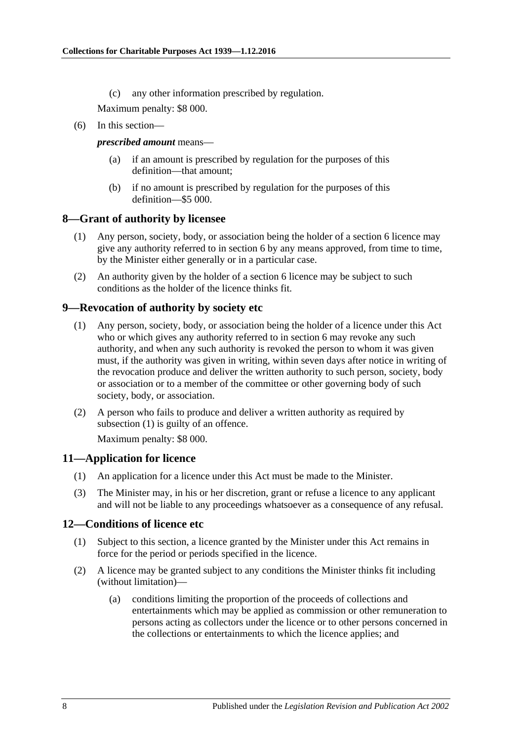(c) any other information prescribed by regulation.

Maximum penalty: \$8 000.

(6) In this section—

#### *prescribed amount* means—

- (a) if an amount is prescribed by regulation for the purposes of this definition—that amount;
- (b) if no amount is prescribed by regulation for the purposes of this definition—\$5 000.

# <span id="page-7-0"></span>**8—Grant of authority by licensee**

- (1) Any person, society, body, or association being the holder of a [section](#page-2-1) 6 licence may give any authority referred to in [section](#page-2-1) 6 by any means approved, from time to time, by the Minister either generally or in a particular case.
- (2) An authority given by the holder of a [section](#page-2-1) 6 licence may be subject to such conditions as the holder of the licence thinks fit.

# <span id="page-7-4"></span><span id="page-7-1"></span>**9—Revocation of authority by society etc**

- (1) Any person, society, body, or association being the holder of a licence under this Act who or which gives any authority referred to in [section](#page-2-1) 6 may revoke any such authority, and when any such authority is revoked the person to whom it was given must, if the authority was given in writing, within seven days after notice in writing of the revocation produce and deliver the written authority to such person, society, body or association or to a member of the committee or other governing body of such society, body, or association.
- (2) A person who fails to produce and deliver a written authority as required by [subsection](#page-7-4) (1) is guilty of an offence.

Maximum penalty: \$8 000.

# <span id="page-7-2"></span>**11—Application for licence**

- (1) An application for a licence under this Act must be made to the Minister.
- (3) The Minister may, in his or her discretion, grant or refuse a licence to any applicant and will not be liable to any proceedings whatsoever as a consequence of any refusal.

# <span id="page-7-3"></span>**12—Conditions of licence etc**

- (1) Subject to this section, a licence granted by the Minister under this Act remains in force for the period or periods specified in the licence.
- (2) A licence may be granted subject to any conditions the Minister thinks fit including (without limitation)—
	- (a) conditions limiting the proportion of the proceeds of collections and entertainments which may be applied as commission or other remuneration to persons acting as collectors under the licence or to other persons concerned in the collections or entertainments to which the licence applies; and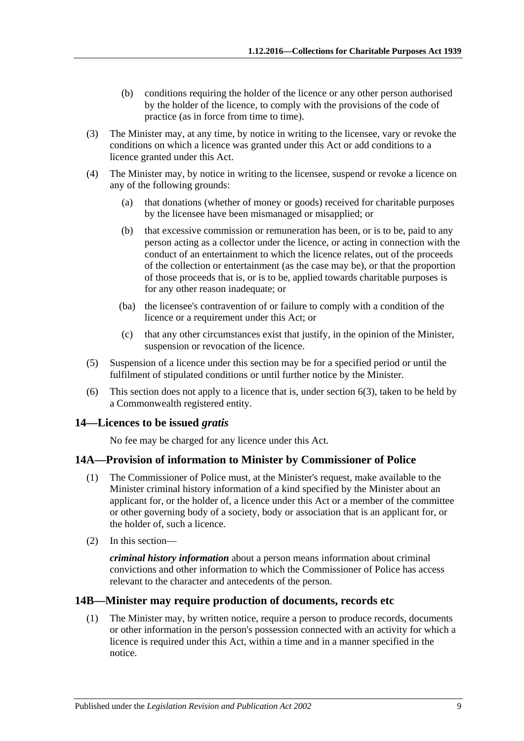- (b) conditions requiring the holder of the licence or any other person authorised by the holder of the licence, to comply with the provisions of the code of practice (as in force from time to time).
- (3) The Minister may, at any time, by notice in writing to the licensee, vary or revoke the conditions on which a licence was granted under this Act or add conditions to a licence granted under this Act.
- (4) The Minister may, by notice in writing to the licensee, suspend or revoke a licence on any of the following grounds:
	- (a) that donations (whether of money or goods) received for charitable purposes by the licensee have been mismanaged or misapplied; or
	- (b) that excessive commission or remuneration has been, or is to be, paid to any person acting as a collector under the licence, or acting in connection with the conduct of an entertainment to which the licence relates, out of the proceeds of the collection or entertainment (as the case may be), or that the proportion of those proceeds that is, or is to be, applied towards charitable purposes is for any other reason inadequate; or
	- (ba) the licensee's contravention of or failure to comply with a condition of the licence or a requirement under this Act; or
	- (c) that any other circumstances exist that justify, in the opinion of the Minister, suspension or revocation of the licence.
- (5) Suspension of a licence under this section may be for a specified period or until the fulfilment of stipulated conditions or until further notice by the Minister.
- (6) This section does not apply to a licence that is, under [section](#page-2-3) 6(3), taken to be held by a Commonwealth registered entity.

# <span id="page-8-0"></span>**14—Licences to be issued** *gratis*

No fee may be charged for any licence under this Act.

# <span id="page-8-1"></span>**14A—Provision of information to Minister by Commissioner of Police**

- (1) The Commissioner of Police must, at the Minister's request, make available to the Minister criminal history information of a kind specified by the Minister about an applicant for, or the holder of, a licence under this Act or a member of the committee or other governing body of a society, body or association that is an applicant for, or the holder of, such a licence.
- (2) In this section—

*criminal history information* about a person means information about criminal convictions and other information to which the Commissioner of Police has access relevant to the character and antecedents of the person.

# <span id="page-8-2"></span>**14B—Minister may require production of documents, records etc**

(1) The Minister may, by written notice, require a person to produce records, documents or other information in the person's possession connected with an activity for which a licence is required under this Act, within a time and in a manner specified in the notice.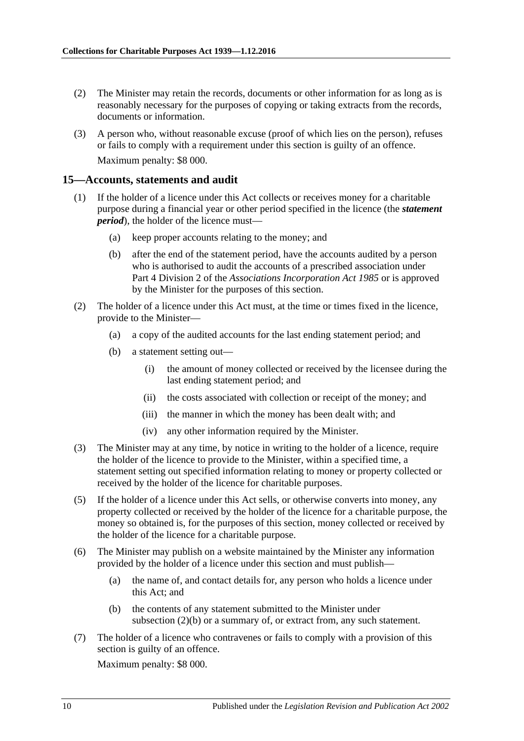- (2) The Minister may retain the records, documents or other information for as long as is reasonably necessary for the purposes of copying or taking extracts from the records, documents or information.
- (3) A person who, without reasonable excuse (proof of which lies on the person), refuses or fails to comply with a requirement under this section is guilty of an offence. Maximum penalty: \$8 000.

#### <span id="page-9-3"></span><span id="page-9-0"></span>**15—Accounts, statements and audit**

- (1) If the holder of a licence under this Act collects or receives money for a charitable purpose during a financial year or other period specified in the licence (the *statement period*), the holder of the licence must—
	- (a) keep proper accounts relating to the money; and
	- (b) after the end of the statement period, have the accounts audited by a person who is authorised to audit the accounts of a prescribed association under Part 4 Division 2 of the *[Associations Incorporation Act](http://www.legislation.sa.gov.au/index.aspx?action=legref&type=act&legtitle=Associations%20Incorporation%20Act%201985) 1985* or is approved by the Minister for the purposes of this section.
- <span id="page-9-4"></span><span id="page-9-1"></span>(2) The holder of a licence under this Act must, at the time or times fixed in the licence, provide to the Minister—
	- (a) a copy of the audited accounts for the last ending statement period; and
	- (b) a statement setting out—
		- (i) the amount of money collected or received by the licensee during the last ending statement period; and
		- (ii) the costs associated with collection or receipt of the money; and
		- (iii) the manner in which the money has been dealt with; and
		- (iv) any other information required by the Minister.
- (3) The Minister may at any time, by notice in writing to the holder of a licence, require the holder of the licence to provide to the Minister, within a specified time, a statement setting out specified information relating to money or property collected or received by the holder of the licence for charitable purposes.
- (5) If the holder of a licence under this Act sells, or otherwise converts into money, any property collected or received by the holder of the licence for a charitable purpose, the money so obtained is, for the purposes of this section, money collected or received by the holder of the licence for a charitable purpose.
- <span id="page-9-2"></span>(6) The Minister may publish on a website maintained by the Minister any information provided by the holder of a licence under this section and must publish—
	- (a) the name of, and contact details for, any person who holds a licence under this Act; and
	- (b) the contents of any statement submitted to the Minister under [subsection](#page-9-1) (2)(b) or a summary of, or extract from, any such statement.
- <span id="page-9-5"></span>(7) The holder of a licence who contravenes or fails to comply with a provision of this section is guilty of an offence.

Maximum penalty: \$8 000.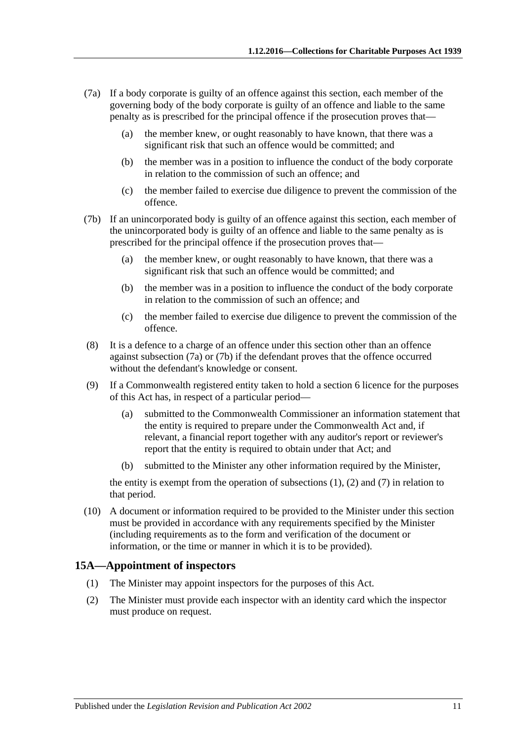- <span id="page-10-2"></span>(7a) If a body corporate is guilty of an offence against this section, each member of the governing body of the body corporate is guilty of an offence and liable to the same penalty as is prescribed for the principal offence if the prosecution proves that—
	- (a) the member knew, or ought reasonably to have known, that there was a significant risk that such an offence would be committed; and
	- (b) the member was in a position to influence the conduct of the body corporate in relation to the commission of such an offence; and
	- (c) the member failed to exercise due diligence to prevent the commission of the offence.
- <span id="page-10-3"></span>(7b) If an unincorporated body is guilty of an offence against this section, each member of the unincorporated body is guilty of an offence and liable to the same penalty as is prescribed for the principal offence if the prosecution proves that—
	- (a) the member knew, or ought reasonably to have known, that there was a significant risk that such an offence would be committed; and
	- (b) the member was in a position to influence the conduct of the body corporate in relation to the commission of such an offence; and
	- (c) the member failed to exercise due diligence to prevent the commission of the offence.
- (8) It is a defence to a charge of an offence under this section other than an offence against [subsection](#page-10-2) (7a) or [\(7b\)](#page-10-3) if the defendant proves that the offence occurred without the defendant's knowledge or consent.
- <span id="page-10-1"></span>(9) If a Commonwealth registered entity taken to hold a [section](#page-2-1) 6 licence for the purposes of this Act has, in respect of a particular period—
	- (a) submitted to the Commonwealth Commissioner an information statement that the entity is required to prepare under the Commonwealth Act and, if relevant, a financial report together with any auditor's report or reviewer's report that the entity is required to obtain under that Act; and
	- (b) submitted to the Minister any other information required by the Minister,

the entity is exempt from the operation of [subsections](#page-9-3)  $(1)$ ,  $(2)$  and  $(7)$  in relation to that period.

(10) A document or information required to be provided to the Minister under this section must be provided in accordance with any requirements specified by the Minister (including requirements as to the form and verification of the document or information, or the time or manner in which it is to be provided).

#### <span id="page-10-0"></span>**15A—Appointment of inspectors**

- (1) The Minister may appoint inspectors for the purposes of this Act.
- (2) The Minister must provide each inspector with an identity card which the inspector must produce on request.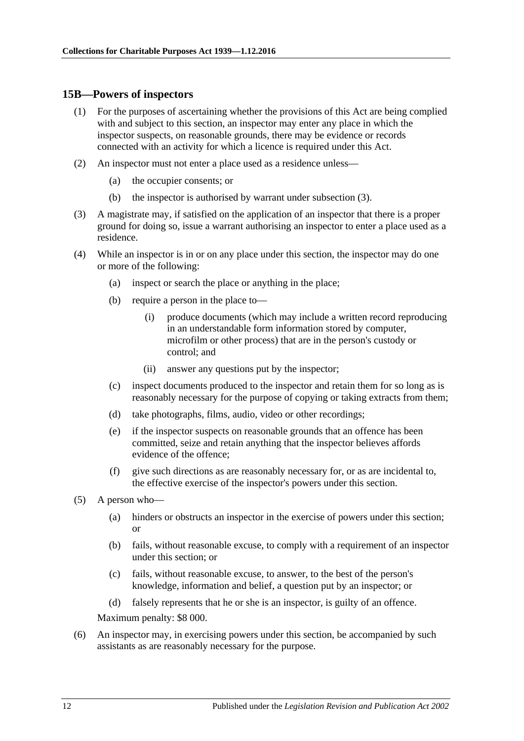#### <span id="page-11-0"></span>**15B—Powers of inspectors**

- (1) For the purposes of ascertaining whether the provisions of this Act are being complied with and subject to this section, an inspector may enter any place in which the inspector suspects, on reasonable grounds, there may be evidence or records connected with an activity for which a licence is required under this Act.
- (2) An inspector must not enter a place used as a residence unless—
	- (a) the occupier consents; or
	- (b) the inspector is authorised by warrant under [subsection](#page-11-1) (3).
- <span id="page-11-1"></span>(3) A magistrate may, if satisfied on the application of an inspector that there is a proper ground for doing so, issue a warrant authorising an inspector to enter a place used as a residence.
- (4) While an inspector is in or on any place under this section, the inspector may do one or more of the following:
	- (a) inspect or search the place or anything in the place;
	- (b) require a person in the place to—
		- (i) produce documents (which may include a written record reproducing in an understandable form information stored by computer, microfilm or other process) that are in the person's custody or control; and
		- (ii) answer any questions put by the inspector;
	- (c) inspect documents produced to the inspector and retain them for so long as is reasonably necessary for the purpose of copying or taking extracts from them;
	- (d) take photographs, films, audio, video or other recordings;
	- (e) if the inspector suspects on reasonable grounds that an offence has been committed, seize and retain anything that the inspector believes affords evidence of the offence;
	- (f) give such directions as are reasonably necessary for, or as are incidental to, the effective exercise of the inspector's powers under this section.
- (5) A person who—
	- (a) hinders or obstructs an inspector in the exercise of powers under this section; or
	- (b) fails, without reasonable excuse, to comply with a requirement of an inspector under this section; or
	- (c) fails, without reasonable excuse, to answer, to the best of the person's knowledge, information and belief, a question put by an inspector; or
	- (d) falsely represents that he or she is an inspector, is guilty of an offence.

Maximum penalty: \$8 000.

(6) An inspector may, in exercising powers under this section, be accompanied by such assistants as are reasonably necessary for the purpose.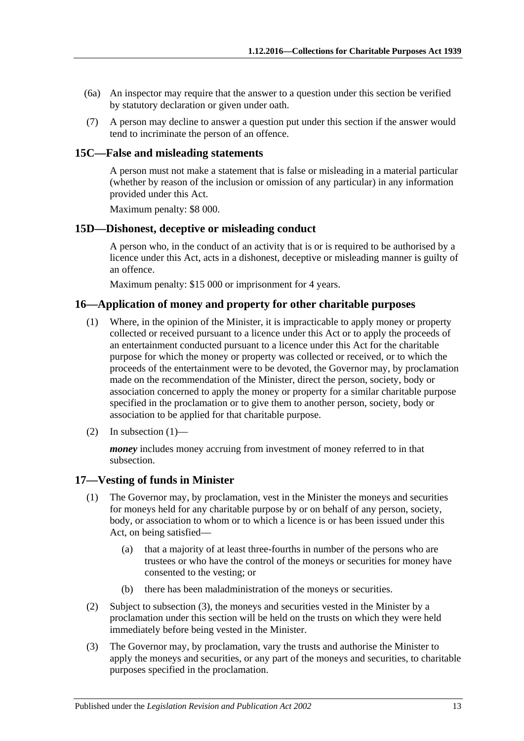- (6a) An inspector may require that the answer to a question under this section be verified by statutory declaration or given under oath.
- (7) A person may decline to answer a question put under this section if the answer would tend to incriminate the person of an offence.

#### <span id="page-12-0"></span>**15C—False and misleading statements**

A person must not make a statement that is false or misleading in a material particular (whether by reason of the inclusion or omission of any particular) in any information provided under this Act.

Maximum penalty: \$8 000.

#### <span id="page-12-1"></span>**15D—Dishonest, deceptive or misleading conduct**

A person who, in the conduct of an activity that is or is required to be authorised by a licence under this Act, acts in a dishonest, deceptive or misleading manner is guilty of an offence.

Maximum penalty: \$15 000 or imprisonment for 4 years.

#### <span id="page-12-4"></span><span id="page-12-2"></span>**16—Application of money and property for other charitable purposes**

- (1) Where, in the opinion of the Minister, it is impracticable to apply money or property collected or received pursuant to a licence under this Act or to apply the proceeds of an entertainment conducted pursuant to a licence under this Act for the charitable purpose for which the money or property was collected or received, or to which the proceeds of the entertainment were to be devoted, the Governor may, by proclamation made on the recommendation of the Minister, direct the person, society, body or association concerned to apply the money or property for a similar charitable purpose specified in the proclamation or to give them to another person, society, body or association to be applied for that charitable purpose.
- $(2)$  In [subsection](#page-12-4)  $(1)$ —

*money* includes money accruing from investment of money referred to in that subsection.

#### <span id="page-12-3"></span>**17—Vesting of funds in Minister**

- (1) The Governor may, by proclamation, vest in the Minister the moneys and securities for moneys held for any charitable purpose by or on behalf of any person, society, body, or association to whom or to which a licence is or has been issued under this Act, on being satisfied—
	- (a) that a majority of at least three-fourths in number of the persons who are trustees or who have the control of the moneys or securities for money have consented to the vesting; or
	- (b) there has been maladministration of the moneys or securities.
- (2) Subject to [subsection](#page-12-5) (3), the moneys and securities vested in the Minister by a proclamation under this section will be held on the trusts on which they were held immediately before being vested in the Minister.
- <span id="page-12-5"></span>(3) The Governor may, by proclamation, vary the trusts and authorise the Minister to apply the moneys and securities, or any part of the moneys and securities, to charitable purposes specified in the proclamation.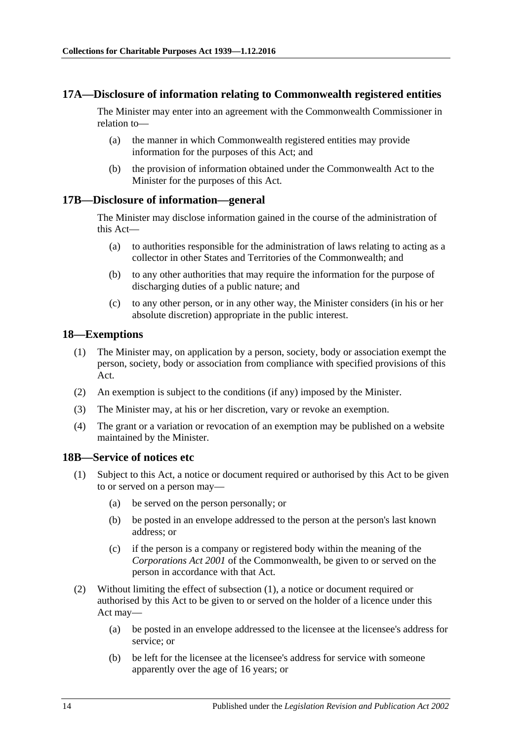#### <span id="page-13-0"></span>**17A—Disclosure of information relating to Commonwealth registered entities**

The Minister may enter into an agreement with the Commonwealth Commissioner in relation to—

- (a) the manner in which Commonwealth registered entities may provide information for the purposes of this Act; and
- (b) the provision of information obtained under the Commonwealth Act to the Minister for the purposes of this Act.

#### <span id="page-13-1"></span>**17B—Disclosure of information—general**

The Minister may disclose information gained in the course of the administration of this Act—

- (a) to authorities responsible for the administration of laws relating to acting as a collector in other States and Territories of the Commonwealth; and
- (b) to any other authorities that may require the information for the purpose of discharging duties of a public nature; and
- (c) to any other person, or in any other way, the Minister considers (in his or her absolute discretion) appropriate in the public interest.

#### <span id="page-13-2"></span>**18—Exemptions**

- (1) The Minister may, on application by a person, society, body or association exempt the person, society, body or association from compliance with specified provisions of this Act.
- (2) An exemption is subject to the conditions (if any) imposed by the Minister.
- (3) The Minister may, at his or her discretion, vary or revoke an exemption.
- (4) The grant or a variation or revocation of an exemption may be published on a website maintained by the Minister.

#### <span id="page-13-4"></span><span id="page-13-3"></span>**18B—Service of notices etc**

- (1) Subject to this Act, a notice or document required or authorised by this Act to be given to or served on a person may—
	- (a) be served on the person personally; or
	- (b) be posted in an envelope addressed to the person at the person's last known address; or
	- (c) if the person is a company or registered body within the meaning of the *Corporations Act 2001* of the Commonwealth, be given to or served on the person in accordance with that Act.
- (2) Without limiting the effect of [subsection](#page-13-4) (1), a notice or document required or authorised by this Act to be given to or served on the holder of a licence under this Act may—
	- (a) be posted in an envelope addressed to the licensee at the licensee's address for service; or
	- (b) be left for the licensee at the licensee's address for service with someone apparently over the age of 16 years; or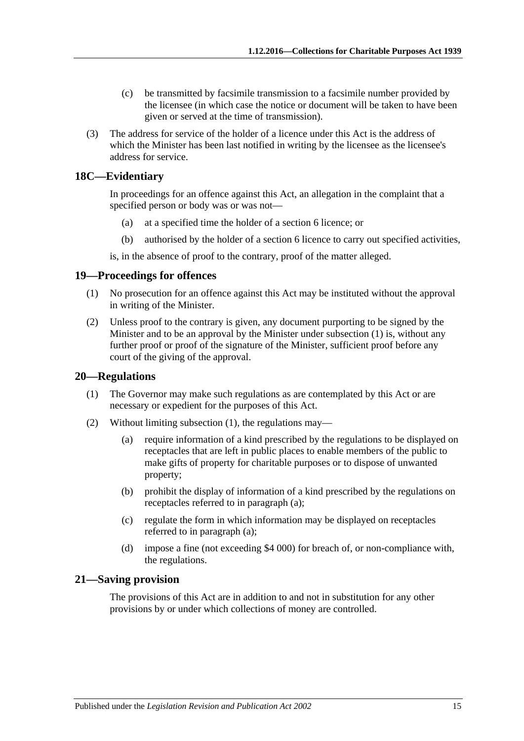- (c) be transmitted by facsimile transmission to a facsimile number provided by the licensee (in which case the notice or document will be taken to have been given or served at the time of transmission).
- (3) The address for service of the holder of a licence under this Act is the address of which the Minister has been last notified in writing by the licensee as the licensee's address for service.

# <span id="page-14-0"></span>**18C—Evidentiary**

In proceedings for an offence against this Act, an allegation in the complaint that a specified person or body was or was not—

- (a) at a specified time the holder of a [section](#page-2-1) 6 licence; or
- (b) authorised by the holder of a [section](#page-2-1) 6 licence to carry out specified activities,

is, in the absence of proof to the contrary, proof of the matter alleged.

#### <span id="page-14-4"></span><span id="page-14-1"></span>**19—Proceedings for offences**

- (1) No prosecution for an offence against this Act may be instituted without the approval in writing of the Minister.
- (2) Unless proof to the contrary is given, any document purporting to be signed by the Minister and to be an approval by the Minister under [subsection](#page-14-4) (1) is, without any further proof or proof of the signature of the Minister, sufficient proof before any court of the giving of the approval.

#### <span id="page-14-5"></span><span id="page-14-2"></span>**20—Regulations**

- (1) The Governor may make such regulations as are contemplated by this Act or are necessary or expedient for the purposes of this Act.
- <span id="page-14-6"></span>(2) Without limiting [subsection](#page-14-5) (1), the regulations may—
	- (a) require information of a kind prescribed by the regulations to be displayed on receptacles that are left in public places to enable members of the public to make gifts of property for charitable purposes or to dispose of unwanted property;
	- (b) prohibit the display of information of a kind prescribed by the regulations on receptacles referred to in [paragraph](#page-14-6) (a);
	- (c) regulate the form in which information may be displayed on receptacles referred to in [paragraph](#page-14-6) (a);
	- (d) impose a fine (not exceeding \$4 000) for breach of, or non-compliance with, the regulations.

#### <span id="page-14-3"></span>**21—Saving provision**

The provisions of this Act are in addition to and not in substitution for any other provisions by or under which collections of money are controlled.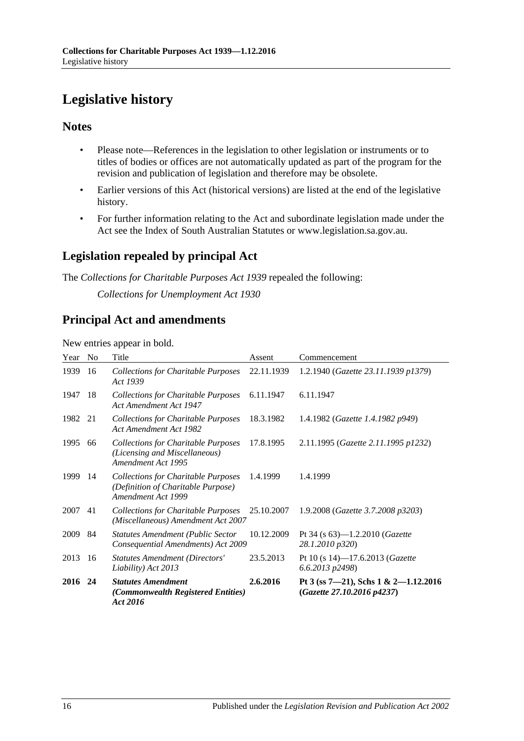# <span id="page-15-0"></span>**Legislative history**

# **Notes**

- Please note—References in the legislation to other legislation or instruments or to titles of bodies or offices are not automatically updated as part of the program for the revision and publication of legislation and therefore may be obsolete.
- Earlier versions of this Act (historical versions) are listed at the end of the legislative history.
- For further information relating to the Act and subordinate legislation made under the Act see the Index of South Australian Statutes or www.legislation.sa.gov.au.

# **Legislation repealed by principal Act**

The *Collections for Charitable Purposes Act 1939* repealed the following:

*Collections for Unemployment Act 1930*

# **Principal Act and amendments**

New entries appear in bold.

| Year | N <sub>0</sub> | Title                                                                                                  | Assent     | Commencement                                                       |
|------|----------------|--------------------------------------------------------------------------------------------------------|------------|--------------------------------------------------------------------|
| 1939 | 16             | <b>Collections for Charitable Purposes</b><br>Act 1939                                                 | 22.11.1939 | 1.2.1940 (Gazette 23.11.1939 p1379)                                |
| 1947 | 18             | <b>Collections for Charitable Purposes</b><br>Act Amendment Act 1947                                   | 6.11.1947  | 6.11.1947                                                          |
| 1982 | 21             | <b>Collections for Charitable Purposes</b><br>Act Amendment Act 1982                                   | 18.3.1982  | 1.4.1982 (Gazette 1.4.1982 p949)                                   |
| 1995 | 66             | <b>Collections for Charitable Purposes</b><br>(Licensing and Miscellaneous)<br>Amendment Act 1995      | 17.8.1995  | 2.11.1995 (Gazette 2.11.1995 p1232)                                |
| 1999 | 14             | <b>Collections for Charitable Purposes</b><br>(Definition of Charitable Purpose)<br>Amendment Act 1999 | 1.4.1999   | 1.4.1999                                                           |
| 2007 | 41             | <b>Collections for Charitable Purposes</b><br>(Miscellaneous) Amendment Act 2007                       | 25.10.2007 | 1.9.2008 (Gazette 3.7.2008 p3203)                                  |
| 2009 | 84             | <b>Statutes Amendment (Public Sector</b><br>Consequential Amendments) Act 2009                         | 10.12.2009 | Pt 34 (s $63$ )—1.2.2010 ( <i>Gazette</i><br>28.1.2010 p320)       |
| 2013 | 16             | <b>Statutes Amendment (Directors'</b><br>Liability) Act 2013                                           | 23.5.2013  | Pt 10 (s 14)-17.6.2013 ( <i>Gazette</i><br>6.6.2013 p2498)         |
| 2016 | 24             | <b>Statutes Amendment</b><br>(Commonwealth Registered Entities)<br>Act 2016                            | 2.6.2016   | Pt 3 (ss 7-21), Schs 1 & 2-1.12.2016<br>(Gazette 27.10.2016 p4237) |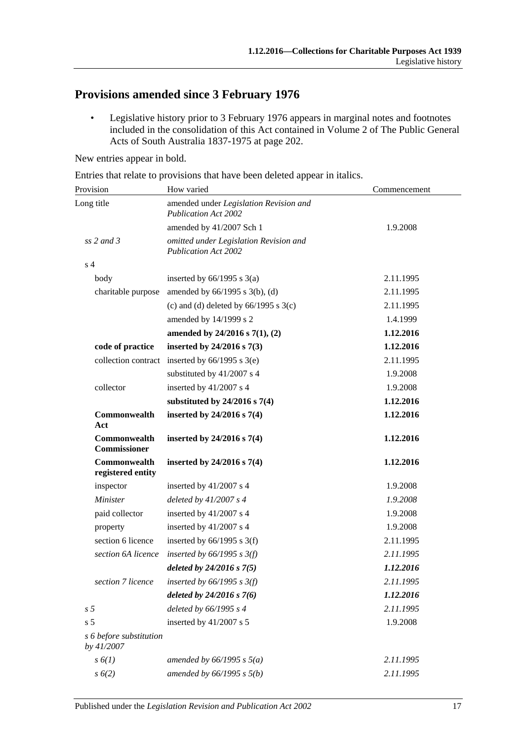# **Provisions amended since 3 February 1976**

• Legislative history prior to 3 February 1976 appears in marginal notes and footnotes included in the consolidation of this Act contained in Volume 2 of The Public General Acts of South Australia 1837-1975 at page 202.

New entries appear in bold.

Entries that relate to provisions that have been deleted appear in italics.

| Provision                             | How varied                                                            | Commencement |  |
|---------------------------------------|-----------------------------------------------------------------------|--------------|--|
| Long title                            | amended under Legislation Revision and<br><b>Publication Act 2002</b> |              |  |
|                                       | amended by 41/2007 Sch 1                                              | 1.9.2008     |  |
| $ss$ 2 and 3                          | omitted under Legislation Revision and<br><b>Publication Act 2002</b> |              |  |
| s <sub>4</sub>                        |                                                                       |              |  |
| body                                  | inserted by $66/1995$ s $3(a)$                                        | 2.11.1995    |  |
| charitable purpose                    | amended by $66/1995$ s $3(b)$ , (d)                                   | 2.11.1995    |  |
|                                       | (c) and (d) deleted by $66/1995$ s $3(c)$                             | 2.11.1995    |  |
|                                       | amended by 14/1999 s 2                                                | 1.4.1999     |  |
|                                       | amended by $24/2016$ s $7(1)$ , $(2)$                                 | 1.12.2016    |  |
| code of practice                      | inserted by $24/2016$ s $7(3)$                                        | 1.12.2016    |  |
| collection contract                   | inserted by $66/1995$ s $3(e)$                                        | 2.11.1995    |  |
|                                       | substituted by 41/2007 s 4                                            | 1.9.2008     |  |
| collector                             | inserted by 41/2007 s 4                                               | 1.9.2008     |  |
|                                       | substituted by $24/2016$ s $7(4)$                                     | 1.12.2016    |  |
| Commonwealth<br>Act                   | inserted by $24/2016$ s $7(4)$                                        | 1.12.2016    |  |
| Commonwealth<br>Commissioner          | inserted by $24/2016$ s $7(4)$                                        | 1.12.2016    |  |
| Commonwealth<br>registered entity     | inserted by $24/2016$ s $7(4)$                                        | 1.12.2016    |  |
| inspector                             | inserted by 41/2007 s 4                                               | 1.9.2008     |  |
| <b>Minister</b>                       | deleted by $41/2007 s 4$                                              | 1.9.2008     |  |
| paid collector                        | inserted by 41/2007 s 4                                               | 1.9.2008     |  |
| property                              | inserted by 41/2007 s 4                                               | 1.9.2008     |  |
| section 6 licence                     | inserted by $66/1995$ s 3(f)                                          | 2.11.1995    |  |
| section 6A licence                    | inserted by $66/1995$ s $3(f)$                                        | 2.11.1995    |  |
|                                       | deleted by $24/2016$ s $7(5)$                                         | 1.12.2016    |  |
| section 7 licence                     | inserted by $66/1995 s 3(f)$                                          | 2.11.1995    |  |
|                                       | deleted by $24/2016 s 7(6)$                                           | 1.12.2016    |  |
| s <sub>5</sub>                        | deleted by 66/1995 s 4                                                | 2.11.1995    |  |
| s <sub>5</sub>                        | inserted by 41/2007 s 5                                               | 1.9.2008     |  |
| s 6 before substitution<br>by 41/2007 |                                                                       |              |  |
| $s\,6(1)$                             | amended by $66/1995$ s $5(a)$                                         | 2.11.1995    |  |
| $s\ 6(2)$                             | amended by $66/1995 s 5(b)$                                           | 2.11.1995    |  |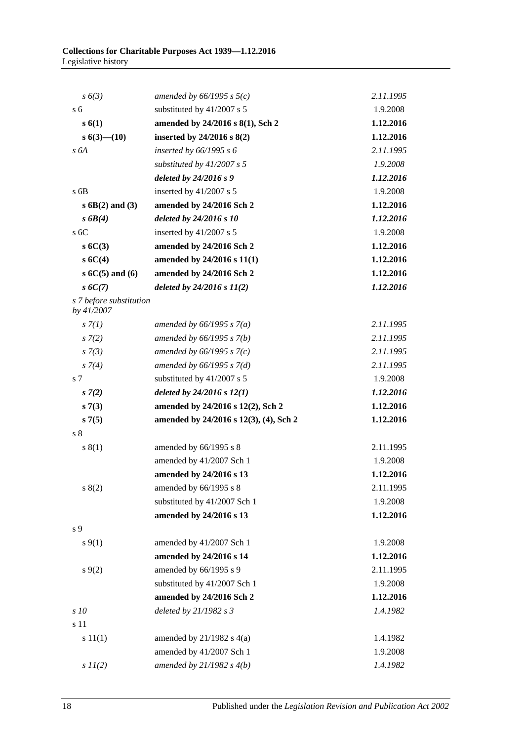| $s\ 6(3)$                             | amended by $66/1995$ s $5(c)$          | 2.11.1995 |
|---------------------------------------|----------------------------------------|-----------|
| s <sub>6</sub>                        | substituted by 41/2007 s 5             | 1.9.2008  |
| s(6(1))                               | amended by 24/2016 s 8(1), Sch 2       | 1.12.2016 |
| $s\;6(3)$ - (10)                      | inserted by $24/2016$ s $8(2)$         | 1.12.2016 |
| s 6A                                  | inserted by $66/1995 s 6$              | 2.11.1995 |
|                                       | substituted by $41/2007 s 5$           | 1.9.2008  |
|                                       | deleted by 24/2016 s 9                 | 1.12.2016 |
| s 6B                                  | inserted by $41/2007$ s 5              | 1.9.2008  |
| $s$ 6B(2) and (3)                     | amended by 24/2016 Sch 2               | 1.12.2016 |
| $s$ 6B(4)                             | deleted by 24/2016 s 10                | 1.12.2016 |
| $s$ 6C                                | inserted by $41/2007$ s 5              | 1.9.2008  |
| s 6C(3)                               | amended by 24/2016 Sch 2               | 1.12.2016 |
| s6C(4)                                | amended by 24/2016 s 11(1)             | 1.12.2016 |
| $s 6C(5)$ and $(6)$                   | amended by 24/2016 Sch 2               | 1.12.2016 |
| $s$ 6C(7)                             | deleted by $24/2016 s 11(2)$           | 1.12.2016 |
| s 7 before substitution<br>by 41/2007 |                                        |           |
| s(7(1))                               | amended by $66/1995$ s $7(a)$          | 2.11.1995 |
| $s \, 7(2)$                           | amended by $66/1995 s 7(b)$            | 2.11.1995 |
| $s \, 7(3)$                           | amended by $66/1995 s 7(c)$            | 2.11.1995 |
| $s \, 7(4)$                           | amended by $66/1995 s 7(d)$            | 2.11.1995 |
| s 7                                   | substituted by 41/2007 s 5             | 1.9.2008  |
| $s \, 7(2)$                           | deleted by $24/2016 s 12(1)$           | 1.12.2016 |
| s7(3)                                 | amended by 24/2016 s 12(2), Sch 2      | 1.12.2016 |
| s7(5)                                 | amended by 24/2016 s 12(3), (4), Sch 2 | 1.12.2016 |
| s <sub>8</sub>                        |                                        |           |
| s(1)                                  | amended by 66/1995 s 8                 | 2.11.1995 |
|                                       | amended by 41/2007 Sch 1               | 1.9.2008  |
|                                       | amended by 24/2016 s 13                | 1.12.2016 |
| s(2)                                  | amended by 66/1995 s 8                 | 2.11.1995 |
|                                       | substituted by 41/2007 Sch 1           | 1.9.2008  |
|                                       | amended by 24/2016 s 13                | 1.12.2016 |
| s 9                                   |                                        |           |
| $s \, 9(1)$                           | amended by 41/2007 Sch 1               | 1.9.2008  |
|                                       | amended by 24/2016 s 14                | 1.12.2016 |
| $s \, 9(2)$                           | amended by 66/1995 s 9                 | 2.11.1995 |
|                                       | substituted by 41/2007 Sch 1           | 1.9.2008  |
|                                       | amended by 24/2016 Sch 2               | 1.12.2016 |
| s 10                                  | deleted by $21/1982 s3$                | 1.4.1982  |
| s 11                                  |                                        |           |
| s 11(1)                               | amended by $21/1982$ s $4(a)$          | 1.4.1982  |
|                                       | amended by 41/2007 Sch 1               | 1.9.2008  |
| $s$ $11(2)$                           | amended by $21/1982$ s $4(b)$          | 1.4.1982  |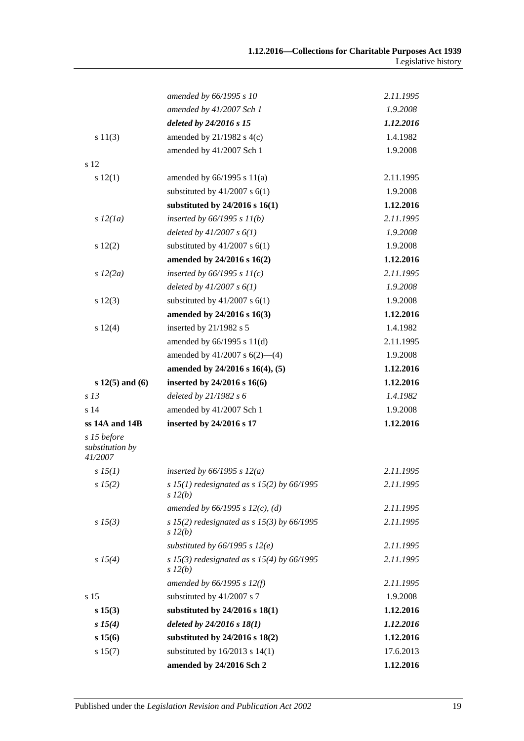|                                           | amended by 66/1995 s 10                                    | 2.11.1995 |
|-------------------------------------------|------------------------------------------------------------|-----------|
|                                           | amended by 41/2007 Sch 1                                   | 1.9.2008  |
|                                           | deleted by 24/2016 s 15                                    | 1.12.2016 |
| s 11(3)                                   | amended by $21/1982$ s $4(c)$                              | 1.4.1982  |
|                                           | amended by 41/2007 Sch 1                                   | 1.9.2008  |
| s 12                                      |                                                            |           |
| s 12(1)                                   | amended by $66/1995$ s $11(a)$                             | 2.11.1995 |
|                                           | substituted by $41/2007$ s $6(1)$                          | 1.9.2008  |
|                                           | substituted by $24/2016$ s $16(1)$                         | 1.12.2016 |
| s 12(1a)                                  | inserted by $66/1995 s 11(b)$                              | 2.11.1995 |
|                                           | deleted by $41/2007 s 6(1)$                                | 1.9.2008  |
| s 12(2)                                   | substituted by $41/2007$ s $6(1)$                          | 1.9.2008  |
|                                           | amended by 24/2016 s 16(2)                                 | 1.12.2016 |
| $s\,12(2a)$                               | inserted by $66/1995 s 11(c)$                              | 2.11.1995 |
|                                           | deleted by $41/2007 s 6(1)$                                | 1.9.2008  |
| s 12(3)                                   | substituted by $41/2007$ s $6(1)$                          | 1.9.2008  |
|                                           | amended by 24/2016 s 16(3)                                 | 1.12.2016 |
| s 12(4)                                   | inserted by 21/1982 s 5                                    | 1.4.1982  |
|                                           | amended by 66/1995 s 11(d)                                 | 2.11.1995 |
|                                           | amended by $41/2007$ s $6(2)$ — $(4)$                      | 1.9.2008  |
|                                           | amended by 24/2016 s 16(4), (5)                            | 1.12.2016 |
| $s 12(5)$ and (6)                         | inserted by 24/2016 s 16(6)                                | 1.12.2016 |
| s <sub>13</sub>                           | deleted by 21/1982 s 6                                     | 1.4.1982  |
| s <sub>14</sub>                           | amended by 41/2007 Sch 1                                   | 1.9.2008  |
| ss 14A and 14B                            | inserted by 24/2016 s 17                                   | 1.12.2016 |
| s 15 before<br>substitution by<br>41/2007 |                                                            |           |
| sI5(1)                                    | inserted by $66/1995$ s $12(a)$                            | 2.11.1995 |
| s 15(2)                                   | s 15(1) redesignated as s 15(2) by 66/1995<br>$s\,l2(b)$   | 2.11.1995 |
|                                           | amended by $66/1995$ s $12(c)$ , (d)                       | 2.11.1995 |
| $s\,15(3)$                                | s 15(2) redesignated as s 15(3) by $66/1995$<br>$s\,l2(b)$ | 2.11.1995 |
|                                           | substituted by $66/1995$ s $12(e)$                         | 2.11.1995 |
| s 15(4)                                   | s 15(3) redesignated as s 15(4) by $66/1995$<br>$s\,l2(b)$ | 2.11.1995 |
|                                           | amended by 66/1995 s 12(f)                                 | 2.11.1995 |
| s 15                                      | substituted by 41/2007 s 7                                 | 1.9.2008  |
| s 15(3)                                   | substituted by 24/2016 s 18(1)                             | 1.12.2016 |
| $s\,15(4)$                                | deleted by $24/2016 s 18(1)$                               | 1.12.2016 |
| s 15(6)                                   | substituted by 24/2016 s 18(2)                             | 1.12.2016 |
| s 15(7)                                   | substituted by $16/2013$ s $14(1)$                         | 17.6.2013 |
|                                           | amended by 24/2016 Sch 2                                   | 1.12.2016 |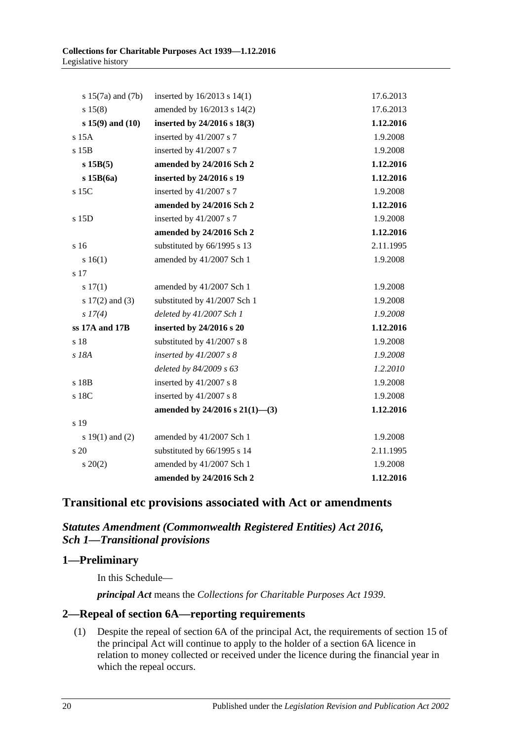| s $15(7a)$ and $(7b)$ | inserted by $16/2013$ s $14(1)$     | 17.6.2013 |
|-----------------------|-------------------------------------|-----------|
| s 15(8)               | amended by 16/2013 s 14(2)          | 17.6.2013 |
| $s 15(9)$ and $(10)$  | inserted by 24/2016 s 18(3)         | 1.12.2016 |
| s 15A                 | inserted by 41/2007 s 7             | 1.9.2008  |
| s 15B                 | inserted by 41/2007 s 7             | 1.9.2008  |
| $s$ 15B $(5)$         | amended by 24/2016 Sch 2            | 1.12.2016 |
| $s$ 15B $(6a)$        | inserted by 24/2016 s 19            | 1.12.2016 |
| s 15C                 | inserted by 41/2007 s 7             | 1.9.2008  |
|                       | amended by 24/2016 Sch 2            | 1.12.2016 |
| s 15D                 | inserted by 41/2007 s 7             | 1.9.2008  |
|                       | amended by 24/2016 Sch 2            | 1.12.2016 |
| s 16                  | substituted by 66/1995 s 13         | 2.11.1995 |
| s 16(1)               | amended by 41/2007 Sch 1            | 1.9.2008  |
| s 17                  |                                     |           |
| $s\ 17(1)$            | amended by 41/2007 Sch 1            | 1.9.2008  |
| s $17(2)$ and $(3)$   | substituted by 41/2007 Sch 1        | 1.9.2008  |
| s 17(4)               | deleted by 41/2007 Sch 1            | 1.9.2008  |
| ss 17A and 17B        | inserted by 24/2016 s 20            | 1.12.2016 |
| s 18                  | substituted by 41/2007 s 8          | 1.9.2008  |
| s 18A                 | inserted by $41/2007 s 8$           | 1.9.2008  |
|                       | deleted by 84/2009 s 63             | 1.2.2010  |
| s 18B                 | inserted by $41/2007$ s 8           | 1.9.2008  |
| s 18C                 | inserted by 41/2007 s 8             | 1.9.2008  |
|                       | amended by $24/2016$ s $21(1)$ —(3) | 1.12.2016 |
| s 19                  |                                     |           |
| s $19(1)$ and $(2)$   | amended by 41/2007 Sch 1            | 1.9.2008  |
| s 20                  | substituted by 66/1995 s 14         | 2.11.1995 |
| $s \ 20(2)$           | amended by 41/2007 Sch 1            | 1.9.2008  |
|                       | amended by 24/2016 Sch 2            | 1.12.2016 |

# **Transitional etc provisions associated with Act or amendments**

# *Statutes Amendment (Commonwealth Registered Entities) Act 2016, Sch 1—Transitional provisions*

# **1—Preliminary**

In this Schedule—

*principal Act* means the *[Collections for Charitable Purposes Act](http://www.legislation.sa.gov.au/index.aspx?action=legref&type=act&legtitle=Collections%20for%20Charitable%20Purposes%20Act%201939) 1939*.

# **2—Repeal of section 6A—reporting requirements**

(1) Despite the repeal of section 6A of the principal Act, the requirements of section 15 of the principal Act will continue to apply to the holder of a section 6A licence in relation to money collected or received under the licence during the financial year in which the repeal occurs.